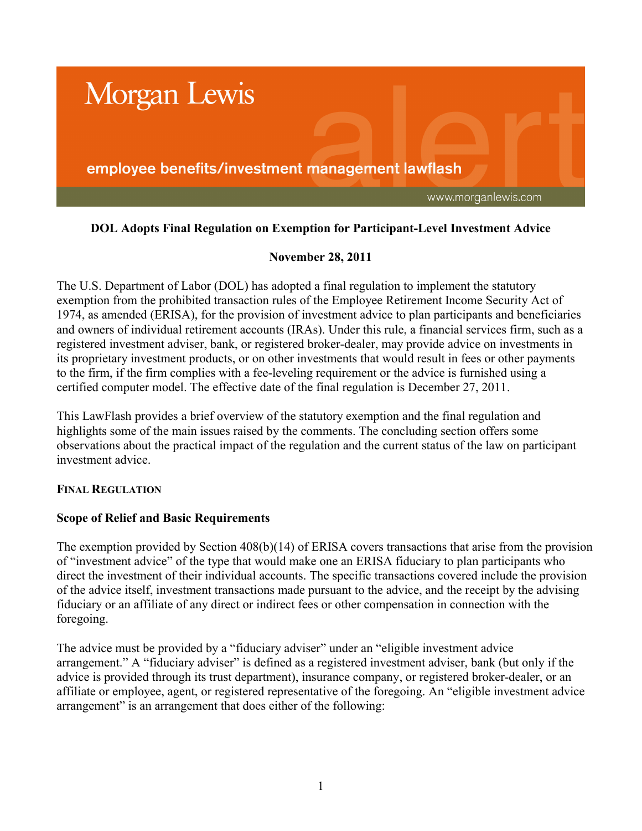

# **DOL Adopts Final Regulation on Exemption for Participant-Level Investment Advice**

# **November 28, 2011**

The U.S. Department of Labor (DOL) has adopted a final regulation to implement the statutory exemption from the prohibited transaction rules of the Employee Retirement Income Security Act of 1974, as amended (ERISA), for the provision of investment advice to plan participants and beneficiaries and owners of individual retirement accounts (IRAs). Under this rule, a financial services firm, such as a registered investment adviser, bank, or registered broker-dealer, may provide advice on investments in its proprietary investment products, or on other investments that would result in fees or other payments to the firm, if the firm complies with a fee-leveling requirement or the advice is furnished using a certified computer model. The effective date of the final regulation is December 27, 2011.

This LawFlash provides a brief overview of the statutory exemption and the final regulation and highlights some of the main issues raised by the comments. The concluding section offers some observations about the practical impact of the regulation and the current status of the law on participant investment advice.

# **FINAL REGULATION**

#### **Scope of Relief and Basic Requirements**

The exemption provided by Section 408(b)(14) of ERISA covers transactions that arise from the provision of "investment advice" of the type that would make one an ERISA fiduciary to plan participants who direct the investment of their individual accounts. The specific transactions covered include the provision of the advice itself, investment transactions made pursuant to the advice, and the receipt by the advising fiduciary or an affiliate of any direct or indirect fees or other compensation in connection with the foregoing.

The advice must be provided by a "fiduciary adviser" under an "eligible investment advice arrangement." A "fiduciary adviser" is defined as a registered investment adviser, bank (but only if the advice is provided through its trust department), insurance company, or registered broker-dealer, or an affiliate or employee, agent, or registered representative of the foregoing. An "eligible investment advice arrangement" is an arrangement that does either of the following: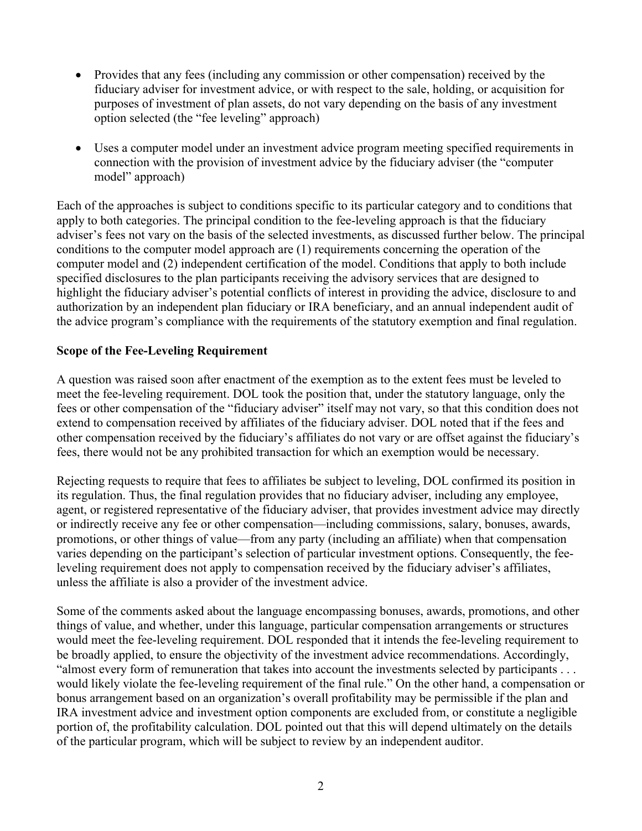- Provides that any fees (including any commission or other compensation) received by the fiduciary adviser for investment advice, or with respect to the sale, holding, or acquisition for purposes of investment of plan assets, do not vary depending on the basis of any investment option selected (the "fee leveling" approach)
- Uses a computer model under an investment advice program meeting specified requirements in connection with the provision of investment advice by the fiduciary adviser (the "computer model" approach)

Each of the approaches is subject to conditions specific to its particular category and to conditions that apply to both categories. The principal condition to the fee-leveling approach is that the fiduciary adviser's fees not vary on the basis of the selected investments, as discussed further below. The principal conditions to the computer model approach are (1) requirements concerning the operation of the computer model and (2) independent certification of the model. Conditions that apply to both include specified disclosures to the plan participants receiving the advisory services that are designed to highlight the fiduciary adviser's potential conflicts of interest in providing the advice, disclosure to and authorization by an independent plan fiduciary or IRA beneficiary, and an annual independent audit of the advice program's compliance with the requirements of the statutory exemption and final regulation.

# **Scope of the Fee-Leveling Requirement**

A question was raised soon after enactment of the exemption as to the extent fees must be leveled to meet the fee-leveling requirement. DOL took the position that, under the statutory language, only the fees or other compensation of the "fiduciary adviser" itself may not vary, so that this condition does not extend to compensation received by affiliates of the fiduciary adviser. DOL noted that if the fees and other compensation received by the fiduciary's affiliates do not vary or are offset against the fiduciary's fees, there would not be any prohibited transaction for which an exemption would be necessary.

Rejecting requests to require that fees to affiliates be subject to leveling, DOL confirmed its position in its regulation. Thus, the final regulation provides that no fiduciary adviser, including any employee, agent, or registered representative of the fiduciary adviser, that provides investment advice may directly or indirectly receive any fee or other compensation—including commissions, salary, bonuses, awards, promotions, or other things of value—from any party (including an affiliate) when that compensation varies depending on the participant's selection of particular investment options. Consequently, the feeleveling requirement does not apply to compensation received by the fiduciary adviser's affiliates, unless the affiliate is also a provider of the investment advice.

Some of the comments asked about the language encompassing bonuses, awards, promotions, and other things of value, and whether, under this language, particular compensation arrangements or structures would meet the fee-leveling requirement. DOL responded that it intends the fee-leveling requirement to be broadly applied, to ensure the objectivity of the investment advice recommendations. Accordingly, "almost every form of remuneration that takes into account the investments selected by participants . . . would likely violate the fee-leveling requirement of the final rule." On the other hand, a compensation or bonus arrangement based on an organization's overall profitability may be permissible if the plan and IRA investment advice and investment option components are excluded from, or constitute a negligible portion of, the profitability calculation. DOL pointed out that this will depend ultimately on the details of the particular program, which will be subject to review by an independent auditor.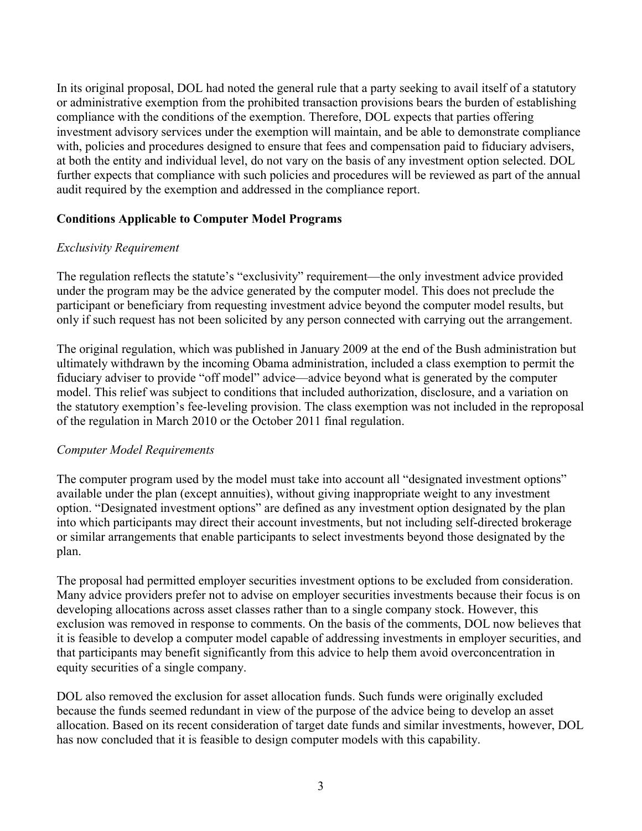In its original proposal, DOL had noted the general rule that a party seeking to avail itself of a statutory or administrative exemption from the prohibited transaction provisions bears the burden of establishing compliance with the conditions of the exemption. Therefore, DOL expects that parties offering investment advisory services under the exemption will maintain, and be able to demonstrate compliance with, policies and procedures designed to ensure that fees and compensation paid to fiduciary advisers, at both the entity and individual level, do not vary on the basis of any investment option selected. DOL further expects that compliance with such policies and procedures will be reviewed as part of the annual audit required by the exemption and addressed in the compliance report.

# **Conditions Applicable to Computer Model Programs**

#### *Exclusivity Requirement*

The regulation reflects the statute's "exclusivity" requirement—the only investment advice provided under the program may be the advice generated by the computer model. This does not preclude the participant or beneficiary from requesting investment advice beyond the computer model results, but only if such request has not been solicited by any person connected with carrying out the arrangement.

The original regulation, which was published in January 2009 at the end of the Bush administration but ultimately withdrawn by the incoming Obama administration, included a class exemption to permit the fiduciary adviser to provide "off model" advice—advice beyond what is generated by the computer model. This relief was subject to conditions that included authorization, disclosure, and a variation on the statutory exemption's fee-leveling provision. The class exemption was not included in the reproposal of the regulation in March 2010 or the October 2011 final regulation.

#### *Computer Model Requirements*

The computer program used by the model must take into account all "designated investment options" available under the plan (except annuities), without giving inappropriate weight to any investment option. "Designated investment options" are defined as any investment option designated by the plan into which participants may direct their account investments, but not including self-directed brokerage or similar arrangements that enable participants to select investments beyond those designated by the plan.

The proposal had permitted employer securities investment options to be excluded from consideration. Many advice providers prefer not to advise on employer securities investments because their focus is on developing allocations across asset classes rather than to a single company stock. However, this exclusion was removed in response to comments. On the basis of the comments, DOL now believes that it is feasible to develop a computer model capable of addressing investments in employer securities, and that participants may benefit significantly from this advice to help them avoid overconcentration in equity securities of a single company.

DOL also removed the exclusion for asset allocation funds. Such funds were originally excluded because the funds seemed redundant in view of the purpose of the advice being to develop an asset allocation. Based on its recent consideration of target date funds and similar investments, however, DOL has now concluded that it is feasible to design computer models with this capability.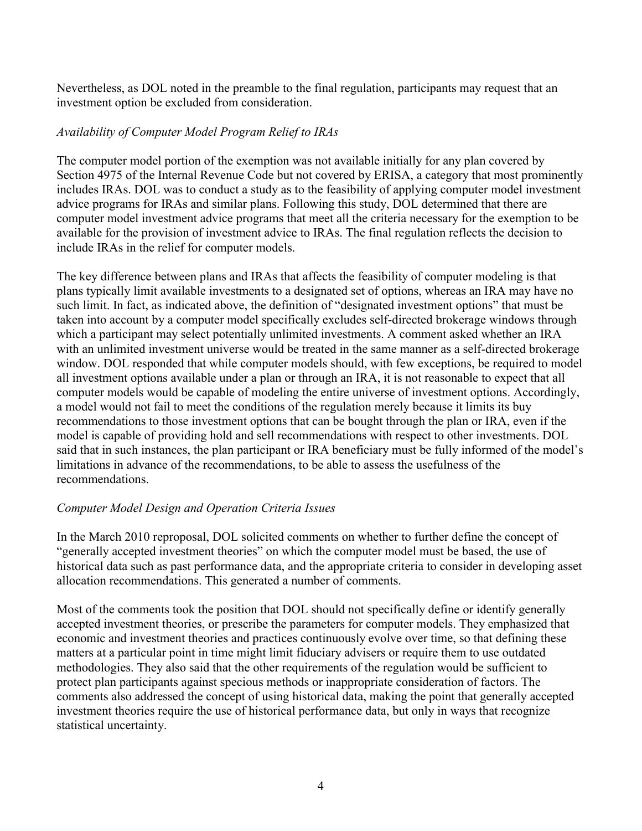Nevertheless, as DOL noted in the preamble to the final regulation, participants may request that an investment option be excluded from consideration.

### *Availability of Computer Model Program Relief to IRAs*

The computer model portion of the exemption was not available initially for any plan covered by Section 4975 of the Internal Revenue Code but not covered by ERISA, a category that most prominently includes IRAs. DOL was to conduct a study as to the feasibility of applying computer model investment advice programs for IRAs and similar plans. Following this study, DOL determined that there are computer model investment advice programs that meet all the criteria necessary for the exemption to be available for the provision of investment advice to IRAs. The final regulation reflects the decision to include IRAs in the relief for computer models.

The key difference between plans and IRAs that affects the feasibility of computer modeling is that plans typically limit available investments to a designated set of options, whereas an IRA may have no such limit. In fact, as indicated above, the definition of "designated investment options" that must be taken into account by a computer model specifically excludes self-directed brokerage windows through which a participant may select potentially unlimited investments. A comment asked whether an IRA with an unlimited investment universe would be treated in the same manner as a self-directed brokerage window. DOL responded that while computer models should, with few exceptions, be required to model all investment options available under a plan or through an IRA, it is not reasonable to expect that all computer models would be capable of modeling the entire universe of investment options. Accordingly, a model would not fail to meet the conditions of the regulation merely because it limits its buy recommendations to those investment options that can be bought through the plan or IRA, even if the model is capable of providing hold and sell recommendations with respect to other investments. DOL said that in such instances, the plan participant or IRA beneficiary must be fully informed of the model's limitations in advance of the recommendations, to be able to assess the usefulness of the recommendations.

# *Computer Model Design and Operation Criteria Issues*

In the March 2010 reproposal, DOL solicited comments on whether to further define the concept of "generally accepted investment theories" on which the computer model must be based, the use of historical data such as past performance data, and the appropriate criteria to consider in developing asset allocation recommendations. This generated a number of comments.

Most of the comments took the position that DOL should not specifically define or identify generally accepted investment theories, or prescribe the parameters for computer models. They emphasized that economic and investment theories and practices continuously evolve over time, so that defining these matters at a particular point in time might limit fiduciary advisers or require them to use outdated methodologies. They also said that the other requirements of the regulation would be sufficient to protect plan participants against specious methods or inappropriate consideration of factors. The comments also addressed the concept of using historical data, making the point that generally accepted investment theories require the use of historical performance data, but only in ways that recognize statistical uncertainty.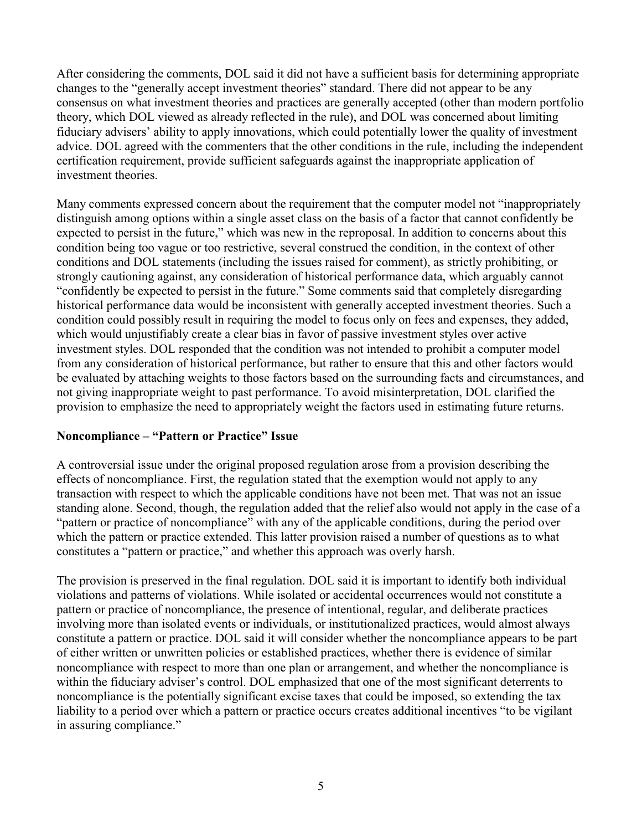After considering the comments, DOL said it did not have a sufficient basis for determining appropriate changes to the "generally accept investment theories" standard. There did not appear to be any consensus on what investment theories and practices are generally accepted (other than modern portfolio theory, which DOL viewed as already reflected in the rule), and DOL was concerned about limiting fiduciary advisers' ability to apply innovations, which could potentially lower the quality of investment advice. DOL agreed with the commenters that the other conditions in the rule, including the independent certification requirement, provide sufficient safeguards against the inappropriate application of investment theories.

Many comments expressed concern about the requirement that the computer model not "inappropriately distinguish among options within a single asset class on the basis of a factor that cannot confidently be expected to persist in the future," which was new in the reproposal. In addition to concerns about this condition being too vague or too restrictive, several construed the condition, in the context of other conditions and DOL statements (including the issues raised for comment), as strictly prohibiting, or strongly cautioning against, any consideration of historical performance data, which arguably cannot "confidently be expected to persist in the future." Some comments said that completely disregarding historical performance data would be inconsistent with generally accepted investment theories. Such a condition could possibly result in requiring the model to focus only on fees and expenses, they added, which would unjustifiably create a clear bias in favor of passive investment styles over active investment styles. DOL responded that the condition was not intended to prohibit a computer model from any consideration of historical performance, but rather to ensure that this and other factors would be evaluated by attaching weights to those factors based on the surrounding facts and circumstances, and not giving inappropriate weight to past performance. To avoid misinterpretation, DOL clarified the provision to emphasize the need to appropriately weight the factors used in estimating future returns.

# **Noncompliance – "Pattern or Practice" Issue**

A controversial issue under the original proposed regulation arose from a provision describing the effects of noncompliance. First, the regulation stated that the exemption would not apply to any transaction with respect to which the applicable conditions have not been met. That was not an issue standing alone. Second, though, the regulation added that the relief also would not apply in the case of a "pattern or practice of noncompliance" with any of the applicable conditions, during the period over which the pattern or practice extended. This latter provision raised a number of questions as to what constitutes a "pattern or practice," and whether this approach was overly harsh.

The provision is preserved in the final regulation. DOL said it is important to identify both individual violations and patterns of violations. While isolated or accidental occurrences would not constitute a pattern or practice of noncompliance, the presence of intentional, regular, and deliberate practices involving more than isolated events or individuals, or institutionalized practices, would almost always constitute a pattern or practice. DOL said it will consider whether the noncompliance appears to be part of either written or unwritten policies or established practices, whether there is evidence of similar noncompliance with respect to more than one plan or arrangement, and whether the noncompliance is within the fiduciary adviser's control. DOL emphasized that one of the most significant deterrents to noncompliance is the potentially significant excise taxes that could be imposed, so extending the tax liability to a period over which a pattern or practice occurs creates additional incentives "to be vigilant in assuring compliance."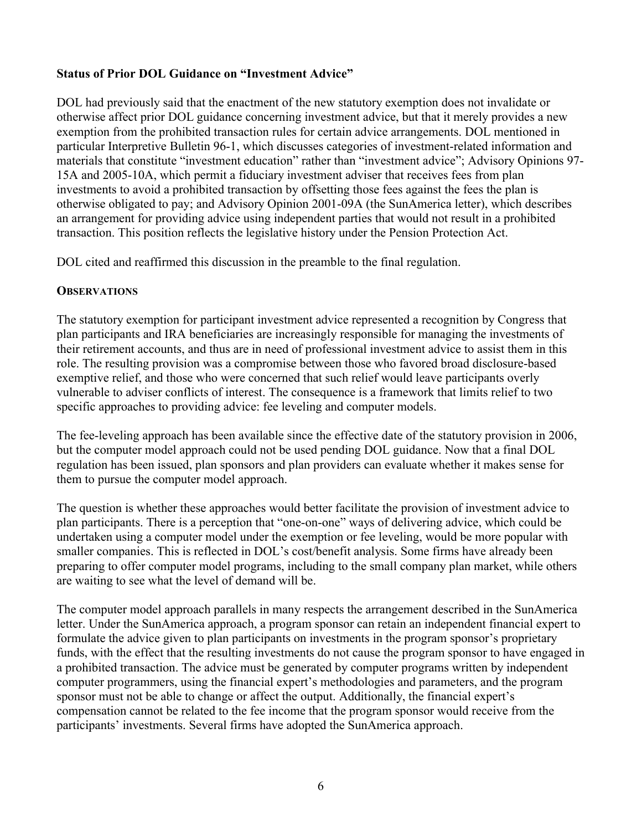# **Status of Prior DOL Guidance on "Investment Advice"**

DOL had previously said that the enactment of the new statutory exemption does not invalidate or otherwise affect prior DOL guidance concerning investment advice, but that it merely provides a new exemption from the prohibited transaction rules for certain advice arrangements. DOL mentioned in particular Interpretive Bulletin 96-1, which discusses categories of investment-related information and materials that constitute "investment education" rather than "investment advice"; Advisory Opinions 97- 15A and 2005-10A, which permit a fiduciary investment adviser that receives fees from plan investments to avoid a prohibited transaction by offsetting those fees against the fees the plan is otherwise obligated to pay; and Advisory Opinion 2001-09A (the SunAmerica letter), which describes an arrangement for providing advice using independent parties that would not result in a prohibited transaction. This position reflects the legislative history under the Pension Protection Act.

DOL cited and reaffirmed this discussion in the preamble to the final regulation.

### **OBSERVATIONS**

The statutory exemption for participant investment advice represented a recognition by Congress that plan participants and IRA beneficiaries are increasingly responsible for managing the investments of their retirement accounts, and thus are in need of professional investment advice to assist them in this role. The resulting provision was a compromise between those who favored broad disclosure-based exemptive relief, and those who were concerned that such relief would leave participants overly vulnerable to adviser conflicts of interest. The consequence is a framework that limits relief to two specific approaches to providing advice: fee leveling and computer models.

The fee-leveling approach has been available since the effective date of the statutory provision in 2006, but the computer model approach could not be used pending DOL guidance. Now that a final DOL regulation has been issued, plan sponsors and plan providers can evaluate whether it makes sense for them to pursue the computer model approach.

The question is whether these approaches would better facilitate the provision of investment advice to plan participants. There is a perception that "one-on-one" ways of delivering advice, which could be undertaken using a computer model under the exemption or fee leveling, would be more popular with smaller companies. This is reflected in DOL's cost/benefit analysis. Some firms have already been preparing to offer computer model programs, including to the small company plan market, while others are waiting to see what the level of demand will be.

The computer model approach parallels in many respects the arrangement described in the SunAmerica letter. Under the SunAmerica approach, a program sponsor can retain an independent financial expert to formulate the advice given to plan participants on investments in the program sponsor's proprietary funds, with the effect that the resulting investments do not cause the program sponsor to have engaged in a prohibited transaction. The advice must be generated by computer programs written by independent computer programmers, using the financial expert's methodologies and parameters, and the program sponsor must not be able to change or affect the output. Additionally, the financial expert's compensation cannot be related to the fee income that the program sponsor would receive from the participants' investments. Several firms have adopted the SunAmerica approach.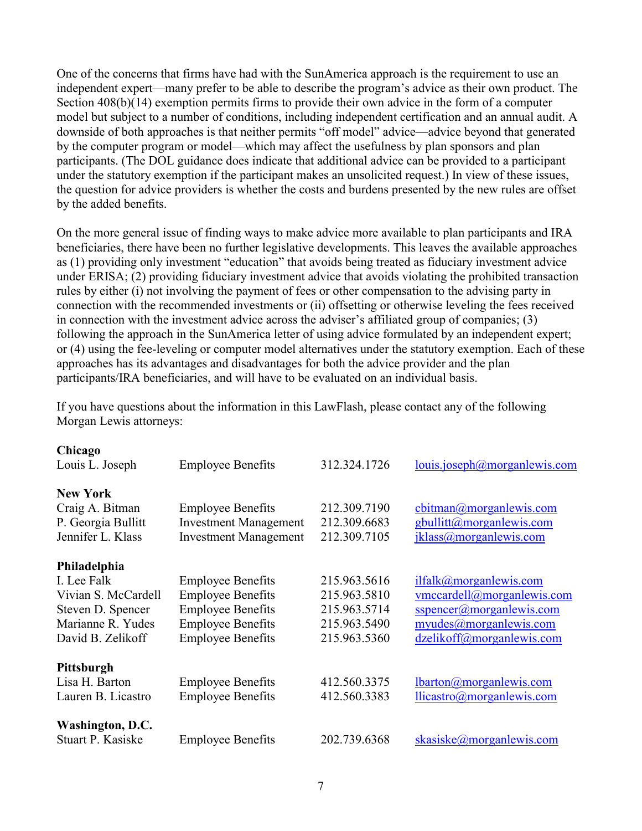One of the concerns that firms have had with the SunAmerica approach is the requirement to use an independent expert—many prefer to be able to describe the program's advice as their own product. The Section 408(b)(14) exemption permits firms to provide their own advice in the form of a computer model but subject to a number of conditions, including independent certification and an annual audit. A downside of both approaches is that neither permits "off model" advice—advice beyond that generated by the computer program or model—which may affect the usefulness by plan sponsors and plan participants. (The DOL guidance does indicate that additional advice can be provided to a participant under the statutory exemption if the participant makes an unsolicited request.) In view of these issues, the question for advice providers is whether the costs and burdens presented by the new rules are offset by the added benefits.

On the more general issue of finding ways to make advice more available to plan participants and IRA beneficiaries, there have been no further legislative developments. This leaves the available approaches as (1) providing only investment "education" that avoids being treated as fiduciary investment advice under ERISA; (2) providing fiduciary investment advice that avoids violating the prohibited transaction rules by either (i) not involving the payment of fees or other compensation to the advising party in connection with the recommended investments or (ii) offsetting or otherwise leveling the fees received in connection with the investment advice across the adviser's affiliated group of companies; (3) following the approach in the SunAmerica letter of using advice formulated by an independent expert; or (4) using the fee-leveling or computer model alternatives under the statutory exemption. Each of these approaches has its advantages and disadvantages for both the advice provider and the plan participants/IRA beneficiaries, and will have to be evaluated on an individual basis.

If you have questions about the information in this LawFlash, please contact any of the following Morgan Lewis attorneys:

| Chicago             |                              |              |                                                                             |
|---------------------|------------------------------|--------------|-----------------------------------------------------------------------------|
| Louis L. Joseph     | <b>Employee Benefits</b>     | 312.324.1726 | louis.joseph@morganlewis.com                                                |
| <b>New York</b>     |                              |              |                                                                             |
| Craig A. Bitman     | <b>Employee Benefits</b>     | 212.309.7190 | $\frac{\text{cbitman}(a) \text{morganlewis.com}}{a \text{morganlewis.com}}$ |
| P. Georgia Bullitt  | <b>Investment Management</b> | 212.309.6683 | gbullitt@morganlewis.com                                                    |
| Jennifer L. Klass   | <b>Investment Management</b> | 212.309.7105 | jklass@morganlewis.com                                                      |
| Philadelphia        |                              |              |                                                                             |
| I. Lee Falk         | <b>Employee Benefits</b>     | 215.963.5616 | ilfalk@morganlewis.com                                                      |
| Vivian S. McCardell | <b>Employee Benefits</b>     | 215.963.5810 | vmccardell@morganlewis.com                                                  |
| Steven D. Spencer   | <b>Employee Benefits</b>     | 215.963.5714 | $s$ spencer $(a)$ morganlewis.com                                           |
| Marianne R. Yudes   | <b>Employee Benefits</b>     | 215.963.5490 | myudes@morganlewis.com                                                      |
| David B. Zelikoff   | <b>Employee Benefits</b>     | 215.963.5360 | dzelikoff@morganlewis.com                                                   |
| Pittsburgh          |                              |              |                                                                             |
| Lisa H. Barton      | <b>Employee Benefits</b>     | 412.560.3375 | lbaron@morganlewis.com                                                      |
| Lauren B. Licastro  | <b>Employee Benefits</b>     | 412.560.3383 | llicastro@morganlewis.com                                                   |
| Washington, D.C.    |                              |              |                                                                             |
| Stuart P. Kasiske   | <b>Employee Benefits</b>     | 202.739.6368 | $skasiske(\omega)$ morganlewis.com                                          |